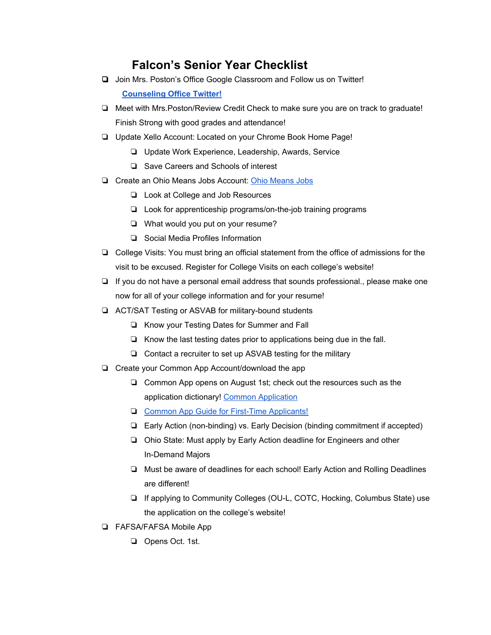## **Falcon's Senior Year Checklist**

- ❏ Join Mrs. Poston's Office Google Classroom and Follow us on Twitter! **[Counseling](https://twitter.com/FUHSGuidance) Office Twitter!**
- ❏ Meet with Mrs.Poston/Review Credit Check to make sure you are on track to graduate! Finish Strong with good grades and attendance!
- ❏ Update Xello Account: Located on your Chrome Book Home Page!
	- ❏ Update Work Experience, Leadership, Awards, Service
	- ❏ Save Careers and Schools of interest
- ❏ Create an Ohio Means Jobs Account: Ohio [Means](https://jobseeker.ohiomeansjobs.monster.com/) Jobs
	- ❏ Look at College and Job Resources
	- ❏ Look for apprenticeship programs/on-the-job training programs
	- ❏ What would you put on your resume?
	- ❏ Social Media Profiles Information
- ❏ College Visits: You must bring an official statement from the office of admissions for the visit to be excused. Register for College Visits on each college's website!
- ❏ If you do not have a personal email address that sounds professional., please make one now for all of your college information and for your resume!
- ❏ ACT/SAT Testing or ASVAB for military-bound students
	- ❏ Know your Testing Dates for Summer and Fall
	- ❏ Know the last testing dates prior to applications being due in the fall.
	- ❏ Contact a recruiter to set up ASVAB testing for the military
- ❏ Create your Common App Account/download the app
	- ❏ Common App opens on August 1st; check out the resources such as the application dictionary! Common [Application](https://www.commonapp.org/)
	- ❏ Common App Guide for First-Time [Applicants!](https://www.commonapp.org/apply/first-time-students)
	- ❏ Early Action (non-binding) vs. Early Decision (binding commitment if accepted)
	- ❏ Ohio State: Must apply by Early Action deadline for Engineers and other In-Demand Majors
	- ❏ Must be aware of deadlines for each school! Early Action and Rolling Deadlines are different!
	- ❏ If applying to Community Colleges (OU-L, COTC, Hocking, Columbus State) use the application on the college's website!
- ❏ FAFSA/FAFSA Mobile App
	- ❏ Opens Oct. 1st.